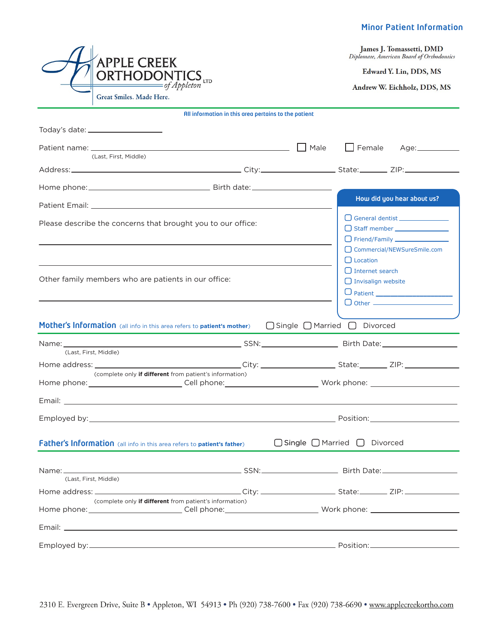## Minor Patient Information

James J. Tomassetti, DMD Diplomate, American Board of Orthodontics

Edward Y. Lin, DDS, MS

Andrew W. Eichholz, DDS, MS

| All information in this area pertains to the patient                                                                                                                      |                                              |                                                                                                         |  |  |
|---------------------------------------------------------------------------------------------------------------------------------------------------------------------------|----------------------------------------------|---------------------------------------------------------------------------------------------------------|--|--|
| Today's date: _____________________                                                                                                                                       |                                              |                                                                                                         |  |  |
| <u> 1980 - Johann Barbara, martxa alemaniar a</u><br>Patient name: ____________<br>(Last, First, Middle)                                                                  | Male                                         | $\Box$ Female                                                                                           |  |  |
|                                                                                                                                                                           |                                              |                                                                                                         |  |  |
|                                                                                                                                                                           |                                              |                                                                                                         |  |  |
|                                                                                                                                                                           |                                              | How did you hear about us?                                                                              |  |  |
| Please describe the concerns that brought you to our office:                                                                                                              |                                              | □ Staff member _______________                                                                          |  |  |
| Other family members who are patients in our office:                                                                                                                      |                                              | □ Commercial/NEWSureSmile.com<br>$\Box$ Location<br>$\Box$ Internet search<br>$\Box$ Invisalign website |  |  |
| Mother's Information (all info in this area refers to patient's mother)                                                                                                   | $\Box$ Single $\Box$ Married $\Box$ Divorced |                                                                                                         |  |  |
| (Last, First, Middle)                                                                                                                                                     |                                              |                                                                                                         |  |  |
| (complete only if different from patient's information)                                                                                                                   |                                              |                                                                                                         |  |  |
| Home phone:___________________________Cell phone:_____________________________Work phone: ____________________                                                            |                                              |                                                                                                         |  |  |
|                                                                                                                                                                           |                                              |                                                                                                         |  |  |
|                                                                                                                                                                           |                                              |                                                                                                         |  |  |
| Father's Information (all info in this area refers to patient's father)                                                                                                   |                                              | $\bigcap$ Single $\bigcap$ Married $\bigcap$ Divorced                                                   |  |  |
| (Last, First, Middle)                                                                                                                                                     |                                              |                                                                                                         |  |  |
|                                                                                                                                                                           |                                              |                                                                                                         |  |  |
| (complete only if different from patient's information)<br>Home phone: ____________________________Cell phone: ____________________________ Work phone: _________________ |                                              |                                                                                                         |  |  |
|                                                                                                                                                                           |                                              |                                                                                                         |  |  |
|                                                                                                                                                                           |                                              |                                                                                                         |  |  |
|                                                                                                                                                                           |                                              |                                                                                                         |  |  |